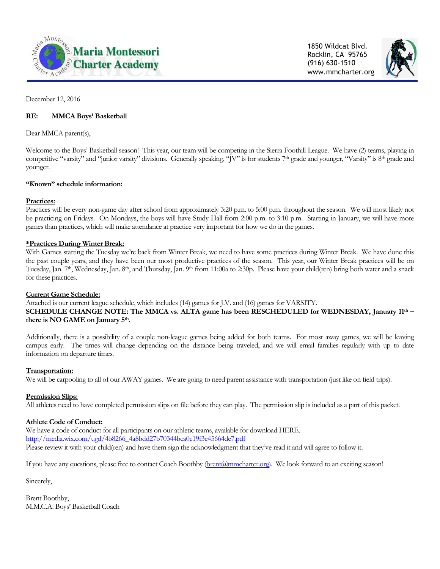

1850 Wildcat Blvd. Rocklin, CA 95765 (916) 630-1510 www.mmcharter.org



December 12, 2016

## **RE: MMCA Boys' Basketball**

Dear MMCA parent(s),

Welcome to the Boys' Basketball season! This year, our team will be competing in the Sierra Foothill League. We have (2) teams, playing in competitive "varsity" and "junior varsity" divisions. Generally speaking, "JV" is for students 7<sup>th</sup> grade and younger, "Varsity" is 8<sup>th</sup> grade and younger.

#### **"Known" schedule information:**

#### **Practices:**

Practices will be every non-game day after school from approximately 3:20 p.m. to 5:00 p.m. throughout the season. We will most likely not be practicing on Fridays. On Mondays, the boys will have Study Hall from 2:00 p.m. to 3:10 p.m. Starting in January, we will have more games than practices, which will make attendance at practice very important for how we do in the games.

### **\*Practices During Winter Break:**

With Games starting the Tuesday we're back from Winter Break, we need to have some practices during Winter Break. We have done this the past couple years, and they have been our most productive practices of the season. This year, our Winter Break practices will be on Tuesday, Jan. 7<sup>th</sup>, Wednesday, Jan. 8<sup>th</sup>, and Thursday, Jan. 9<sup>th</sup> from 11:00a to 2:30p. Please have your child(ren) bring both water and a snack for these practices.

#### **Current Game Schedule:**

Attached is our current league schedule, which includes (14) games for J.V. and (16) games for VARSITY. **SCHEDULE CHANGE NOTE: The MMCA vs. ALTA game has been RESCHEDULED for WEDNESDAY, January 11th – there is NO GAME on January 5th.**

Additionally, there is a possibility of a couple non-league games being added for both teams. For most away games, we will be leaving campus early. The times will change depending on the distance being traveled, and we will email families regularly with up to date information on departure times.

#### **Transportation:**

We will be carpooling to all of our AWAY games. We are going to need parent assistance with transportation (just like on field trips).

## **Permission Slips:**

All athletes need to have completed permission slips on file before they can play. The permission slip is included as a part of this packet.

## **Athlete Code of Conduct:**

We have a code of conduct for all participants on our athletic teams, available for download HERE. [http://media.wix.com/ugd/4b8266\\_4a8bdd27b70344bca0c19f3e45664de7.pdf](http://media.wix.com/ugd/4b8266_4a8bdd27b70344bca0c19f3e45664de7.pdf) Please review it with your child(ren) and have them sign the acknowledgment that they've read it and will agree to follow it.

If you have any questions, please free to contact Coach Boothby [\(brent@mmcharter.org\)](mailto:brent@mmcharter.org). We look forward to an exciting season!

Sincerely,

Brent Boothby, M.M.C.A. Boys' Basketball Coach